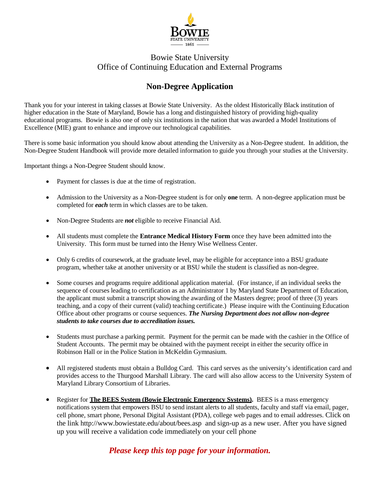

### Bowie State University Office of Continuing Education and External Programs

# **Non-Degree Application**

Thank you for your interest in taking classes at Bowie State University. As the oldest Historically Black institution of higher education in the State of Maryland, Bowie has a long and distinguished history of providing high-quality educational programs. Bowie is also one of only six institutions in the nation that was awarded a Model Institutions of Excellence (MIE) grant to enhance and improve our technological capabilities.

There is some basic information you should know about attending the University as a Non-Degree student. In addition, the Non-Degree Student Handbook will provide more detailed information to guide you through your studies at the University.

Important things a Non-Degree Student should know.

- Payment for classes is due at the time of registration.
- Admission to the University as a Non-Degree student is for only **one** term. A non-degree application must be completed for *each* term in which classes are to be taken.
- Non-Degree Students are *not* eligible to receive Financial Aid.
- All students must complete the **Entrance Medical History Form** once they have been admitted into the University. This form must be turned into the Henry Wise Wellness Center.
- Only 6 credits of coursework, at the graduate level, may be eligible for acceptance into a BSU graduate program, whether take at another university or at BSU while the student is classified as non-degree.
- Some courses and programs require additional application material. (For instance, if an individual seeks the sequence of courses leading to certification as an Administrator 1 by Maryland State Department of Education, the applicant must submit a transcript showing the awarding of the Masters degree; proof of three (3) years teaching, and a copy of their current (valid) teaching certificate.) Please inquire with the Continuing Education Office about other programs or course sequences. *The Nursing Department does not allow non-degree students to take courses due to accreditation issues.*
- Students must purchase a parking permit. Payment for the permit can be made with the cashier in the Office of Student Accounts. The permit may be obtained with the payment receipt in either the security office in Robinson Hall or in the Police Station in McKeldin Gymnasium.
- All registered students must obtain a Bulldog Card. This card serves as the university's identification card and provides access to the Thurgood Marshall Library. The card will also allow access to the University System of Maryland Library Consortium of Libraries.
- Register for **The BEES System (Bowie Electronic Emergency Systems).** BEES is a mass emergency notifications system that empowers BSU to send instant alerts to all students, faculty and staff via email, pager, cell phone, smart phone, Personal Digital Assistant (PDA), college web pages and to email addresses. Click on the [link http://www.bowiestate.edu/about/bees.asp](http://www.bowiestate.edu/about/bees.asp) and sign-up as a new user. After you have signed up you will receive a validation code immediately on your cell phone

## *Please keep this top page for your information.*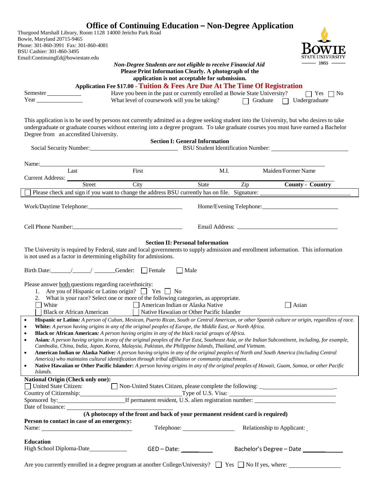| Thurgood Marshall Library, Room 1128 14000 Jericho Park Road                                                                                                                                                                                                                                                                                                                                                                                                | <b>Office of Continuing Education – Non-Degree Application</b>                                                                                                                                                                                                                                                                                                                                           |                                                                               |                                              |                      |
|-------------------------------------------------------------------------------------------------------------------------------------------------------------------------------------------------------------------------------------------------------------------------------------------------------------------------------------------------------------------------------------------------------------------------------------------------------------|----------------------------------------------------------------------------------------------------------------------------------------------------------------------------------------------------------------------------------------------------------------------------------------------------------------------------------------------------------------------------------------------------------|-------------------------------------------------------------------------------|----------------------------------------------|----------------------|
| Bowie, Maryland 20715-9465                                                                                                                                                                                                                                                                                                                                                                                                                                  |                                                                                                                                                                                                                                                                                                                                                                                                          |                                                                               |                                              |                      |
| Phone: 301-860-3991 Fax: 301-860-4081                                                                                                                                                                                                                                                                                                                                                                                                                       |                                                                                                                                                                                                                                                                                                                                                                                                          |                                                                               |                                              |                      |
| BSU Cashier: 301-860-3495<br>Email:ContinuingEd@bowiestate.edu                                                                                                                                                                                                                                                                                                                                                                                              |                                                                                                                                                                                                                                                                                                                                                                                                          |                                                                               |                                              |                      |
|                                                                                                                                                                                                                                                                                                                                                                                                                                                             | Non-Degree Students are not eligible to receive Financial Aid                                                                                                                                                                                                                                                                                                                                            |                                                                               |                                              | - 1865 -             |
|                                                                                                                                                                                                                                                                                                                                                                                                                                                             |                                                                                                                                                                                                                                                                                                                                                                                                          | Please Print Information Clearly. A photograph of the                         |                                              |                      |
|                                                                                                                                                                                                                                                                                                                                                                                                                                                             |                                                                                                                                                                                                                                                                                                                                                                                                          | application is not acceptable for submission.                                 |                                              |                      |
|                                                                                                                                                                                                                                                                                                                                                                                                                                                             | Application Fee \$17.00 - Tuition & Fees Are Due At The Time Of Registration                                                                                                                                                                                                                                                                                                                             |                                                                               |                                              |                      |
| Semester                                                                                                                                                                                                                                                                                                                                                                                                                                                    | Have you been in the past or currently enrolled at Bowie State University?<br>What level of coursework will you be taking?                                                                                                                                                                                                                                                                               |                                                                               | $\Box$ Graduate $\Box$ Undergraduate         | $\Box$ Yes $\Box$ No |
|                                                                                                                                                                                                                                                                                                                                                                                                                                                             |                                                                                                                                                                                                                                                                                                                                                                                                          |                                                                               |                                              |                      |
| This application is to be used by persons not currently admitted as a degree seeking student into the University, but who desires to take<br>undergraduate or graduate courses without entering into a degree program. To take graduate courses you must have earned a Bachelor<br>Degree from an accredited University.                                                                                                                                    |                                                                                                                                                                                                                                                                                                                                                                                                          | <b>Section I: General Information</b>                                         |                                              |                      |
|                                                                                                                                                                                                                                                                                                                                                                                                                                                             |                                                                                                                                                                                                                                                                                                                                                                                                          |                                                                               |                                              |                      |
|                                                                                                                                                                                                                                                                                                                                                                                                                                                             |                                                                                                                                                                                                                                                                                                                                                                                                          |                                                                               |                                              |                      |
| Name: $\angle$                                                                                                                                                                                                                                                                                                                                                                                                                                              |                                                                                                                                                                                                                                                                                                                                                                                                          |                                                                               |                                              |                      |
| Last                                                                                                                                                                                                                                                                                                                                                                                                                                                        | First                                                                                                                                                                                                                                                                                                                                                                                                    | M.I.                                                                          | Maiden/Former Name                           |                      |
| Current Address: <u>Street</u>                                                                                                                                                                                                                                                                                                                                                                                                                              | City                                                                                                                                                                                                                                                                                                                                                                                                     | State                                                                         | Zip <b>County - Country</b>                  |                      |
|                                                                                                                                                                                                                                                                                                                                                                                                                                                             |                                                                                                                                                                                                                                                                                                                                                                                                          |                                                                               |                                              |                      |
|                                                                                                                                                                                                                                                                                                                                                                                                                                                             |                                                                                                                                                                                                                                                                                                                                                                                                          |                                                                               |                                              |                      |
|                                                                                                                                                                                                                                                                                                                                                                                                                                                             |                                                                                                                                                                                                                                                                                                                                                                                                          |                                                                               |                                              |                      |
|                                                                                                                                                                                                                                                                                                                                                                                                                                                             |                                                                                                                                                                                                                                                                                                                                                                                                          |                                                                               |                                              |                      |
| Cell Phone Number:<br><u>Cell Phone Number</u>                                                                                                                                                                                                                                                                                                                                                                                                              |                                                                                                                                                                                                                                                                                                                                                                                                          |                                                                               |                                              |                      |
| The University is required by Federal, state and local governments to supply admission and enrollment information. This information<br>is not used as a factor in determining eligibility for admissions.<br>Birth Date: _______________________________Gender: _______Female _________ Male                                                                                                                                                                |                                                                                                                                                                                                                                                                                                                                                                                                          |                                                                               |                                              |                      |
|                                                                                                                                                                                                                                                                                                                                                                                                                                                             |                                                                                                                                                                                                                                                                                                                                                                                                          |                                                                               |                                              |                      |
| Please answer both questions regarding race/ethnicity:<br>2.<br>White<br>$\mathcal{L}(\mathcal{A})$<br><b>Black or African American</b>                                                                                                                                                                                                                                                                                                                     | 1. Are you of Hispanic or Latino origin? $\Box$ Yes $\Box$ No<br>What is your race? Select one or more of the following categories, as appropriate.                                                                                                                                                                                                                                                      | American Indian or Alaska Native<br>Native Hawaiian or Other Pacific Islander |                                              | $\Box$ Asian         |
| $\bullet$<br>$\bullet$<br>$\bullet$                                                                                                                                                                                                                                                                                                                                                                                                                         | Hispanic or Latino: A person of Cuban, Mexican, Puerto Rican, South or Central American, or other Spanish culture or origin, regardless of race.<br>White: A person having origins in any of the original peoples of Europe, the Middle East, or North Africa.<br><b>Black or African American:</b> A person having origins in any of the black racial groups of Africa.                                 |                                                                               |                                              |                      |
| ٠<br>$\bullet$                                                                                                                                                                                                                                                                                                                                                                                                                                              | Asian: A person having origins in any of the original peoples of the Far East, Southeast Asia, or the Indian Subcontinent, including, for example,<br>Cambodia, China, India, Japan, Korea, Malaysia, Pakistan, the Philippine Islands, Thailand, and Vietnam.<br>American Indian or Alaska Native: A person having origins in any of the original peoples of North and South America (including Central |                                                                               |                                              |                      |
|                                                                                                                                                                                                                                                                                                                                                                                                                                                             | America) who maintains cultural identification through tribal affiliation or community attachment.                                                                                                                                                                                                                                                                                                       |                                                                               |                                              |                      |
| $\bullet$<br>Islands.                                                                                                                                                                                                                                                                                                                                                                                                                                       | Native Hawaiian or Other Pacific Islander: A person having origins in any of the original peoples of Hawaii, Guam, Samoa, or other Pacific                                                                                                                                                                                                                                                               |                                                                               |                                              |                      |
| <b>National Origin (Check only one):</b><br>United State Citizen:                                                                                                                                                                                                                                                                                                                                                                                           | Non-United States Citizen, please complete the following: _______________________                                                                                                                                                                                                                                                                                                                        |                                                                               |                                              |                      |
|                                                                                                                                                                                                                                                                                                                                                                                                                                                             |                                                                                                                                                                                                                                                                                                                                                                                                          |                                                                               | Type of U.S. Visa:                           |                      |
|                                                                                                                                                                                                                                                                                                                                                                                                                                                             |                                                                                                                                                                                                                                                                                                                                                                                                          |                                                                               |                                              |                      |
|                                                                                                                                                                                                                                                                                                                                                                                                                                                             |                                                                                                                                                                                                                                                                                                                                                                                                          |                                                                               |                                              |                      |
|                                                                                                                                                                                                                                                                                                                                                                                                                                                             | (A photocopy of the front and back of your permanent resident card is required)                                                                                                                                                                                                                                                                                                                          |                                                                               |                                              |                      |
| Person to contact in case of an emergency:<br>Name: $\frac{1}{\sqrt{1-\frac{1}{2}}\sqrt{1-\frac{1}{2}}\sqrt{1-\frac{1}{2}}\sqrt{1-\frac{1}{2}}\sqrt{1-\frac{1}{2}}\sqrt{1-\frac{1}{2}}\sqrt{1-\frac{1}{2}}\sqrt{1-\frac{1}{2}}\sqrt{1-\frac{1}{2}}\sqrt{1-\frac{1}{2}}\sqrt{1-\frac{1}{2}}\sqrt{1-\frac{1}{2}}\sqrt{1-\frac{1}{2}}\sqrt{1-\frac{1}{2}}\sqrt{1-\frac{1}{2}}\sqrt{1-\frac{1}{2}}\sqrt{1-\frac{1}{2}}\sqrt{1-\frac{1}{2}}\sqrt{1-\frac{1}{2}}$ |                                                                                                                                                                                                                                                                                                                                                                                                          |                                                                               | Telephone: <b>Nelationship to Applicant:</b> |                      |
|                                                                                                                                                                                                                                                                                                                                                                                                                                                             |                                                                                                                                                                                                                                                                                                                                                                                                          |                                                                               |                                              |                      |
| <b>Education</b><br>High School Diploma-Date                                                                                                                                                                                                                                                                                                                                                                                                                |                                                                                                                                                                                                                                                                                                                                                                                                          | $GED - Date:$                                                                 | Bachelor's Degree - Date                     |                      |
|                                                                                                                                                                                                                                                                                                                                                                                                                                                             |                                                                                                                                                                                                                                                                                                                                                                                                          |                                                                               |                                              |                      |

Are you currently enrolled in a degree program at another College/University?  $\Box$  Yes  $\Box$  No If yes, where: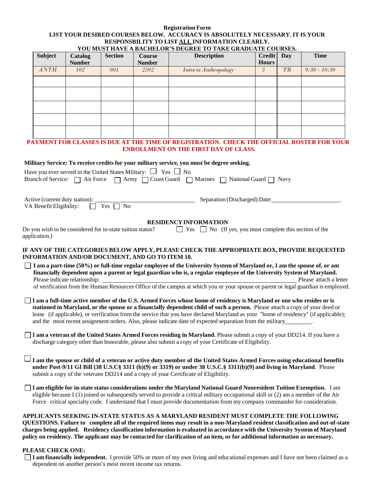#### **Registration Form LIST YOUR DESIRED COURSES BELOW. ACCURACY IS ABSOLUTELY NECESSARY. IT IS YOUR RESPONSBILITY TO LIST ALL INFORMATION CLEARLY.**

| <b>Subject</b>          | Catalog<br><b>Number</b>                                                         | <b>Section</b>               | <b>Course</b><br><b>Number</b> | YOU MUST HAVE A BACHELOR'S DEGREE TO TAKE GRADUATE COURSES.<br><b>Description</b>                                                                                                                                                                                                                                                                                                                                                                                                                                  | <b>Credit</b><br><b>Hours</b> | Day       | <b>Time</b>            |
|-------------------------|----------------------------------------------------------------------------------|------------------------------|--------------------------------|--------------------------------------------------------------------------------------------------------------------------------------------------------------------------------------------------------------------------------------------------------------------------------------------------------------------------------------------------------------------------------------------------------------------------------------------------------------------------------------------------------------------|-------------------------------|-----------|------------------------|
| ANTH                    | 102                                                                              | 001                          | 2592                           | <b>Intro to Anthropology</b>                                                                                                                                                                                                                                                                                                                                                                                                                                                                                       | $\mathfrak{Z}$                | <b>TR</b> | $9:30 - 10:30$         |
|                         |                                                                                  |                              |                                |                                                                                                                                                                                                                                                                                                                                                                                                                                                                                                                    |                               |           |                        |
|                         |                                                                                  |                              |                                |                                                                                                                                                                                                                                                                                                                                                                                                                                                                                                                    |                               |           |                        |
|                         |                                                                                  |                              |                                |                                                                                                                                                                                                                                                                                                                                                                                                                                                                                                                    |                               |           |                        |
|                         |                                                                                  |                              |                                |                                                                                                                                                                                                                                                                                                                                                                                                                                                                                                                    |                               |           |                        |
|                         |                                                                                  |                              |                                |                                                                                                                                                                                                                                                                                                                                                                                                                                                                                                                    |                               |           |                        |
|                         |                                                                                  |                              |                                | PAYMENT FOR CLASSES IS DUE AT THE TIME OF REGISTRATION. CHECK THE OFFICIAL ROSTER FOR YOUR<br><b>ENROLLMENT ON THE FIRST DAY OF CLASS.</b>                                                                                                                                                                                                                                                                                                                                                                         |                               |           |                        |
|                         |                                                                                  |                              |                                |                                                                                                                                                                                                                                                                                                                                                                                                                                                                                                                    |                               |           |                        |
|                         | Have you ever served in the United States Military: $\Box$ Yes $\Box$ No         |                              |                                | Military Service: To receive credits for your military service, you must be degree seeking.                                                                                                                                                                                                                                                                                                                                                                                                                        |                               |           |                        |
|                         |                                                                                  |                              |                                | Branch of Service: $\Box$ Air Force $\Box$ Army $\Box$ Coast Guard $\Box$ Marines $\Box$ National Guard $\Box$ Navy                                                                                                                                                                                                                                                                                                                                                                                                |                               |           |                        |
|                         |                                                                                  |                              |                                |                                                                                                                                                                                                                                                                                                                                                                                                                                                                                                                    |                               |           |                        |
| VA Benefit Eligibility: | Active (current duty station):                                                   | Yes $\Box$<br>N <sub>0</sub> |                                | Separation (Discharged) Date:                                                                                                                                                                                                                                                                                                                                                                                                                                                                                      |                               |           |                        |
|                         |                                                                                  |                              |                                |                                                                                                                                                                                                                                                                                                                                                                                                                                                                                                                    |                               |           |                        |
|                         | Do you wish to be considered for in-state tuition status?                        |                              |                                | <b>RESIDENCY INFORMATION</b><br>$\Box$ Yes $\Box$ No (If yes, you must complete this section of the                                                                                                                                                                                                                                                                                                                                                                                                                |                               |           |                        |
| application.)           |                                                                                  |                              |                                |                                                                                                                                                                                                                                                                                                                                                                                                                                                                                                                    |                               |           |                        |
|                         | INFORMATION AND/OR DOCUMENT, AND GO TO ITEM 10.<br>Please indicate relationship: |                              |                                | IF ANY OF THE CATEGORIES BELOW APPLY, PLEASE CHECK THE APPROPRIATE BOX, PROVIDE REQUESTED<br>I am a part-time (50%) or full-time regular employee of the University System of Maryland or, I am the spouse of, or am<br>financially dependent upon a parent or legal guardian who is, a regular employee of the University System of Maryland.<br>of verification from the Human Resources Office of the campus at which you or your spouse or parent or legal guardian is employed.                               |                               |           | Please attach a letter |
|                         |                                                                                  |                              |                                | $\Box$ I am a full-time active member of the U.S. Armed Forces whose home of residency is Maryland or one who resides or is<br>stationed in Maryland, or the spouse or a financially dependent child of such a person. Please attach a copy of your deed or<br>lease (if applicable), or verification from the service that you have declared Maryland as your "home of residency" (if applicable);<br>and the most recent assignment orders. Also, please indicate date of expected separation from the military. |                               |           |                        |
|                         |                                                                                  |                              |                                | $\Box$ I am a veteran of the United States Armed Forces residing in Maryland. Please submit a copy of your DD214. If you have a<br>discharge category other than honorable, please also submit a copy of your Certificate of Eligibility.                                                                                                                                                                                                                                                                          |                               |           |                        |
|                         |                                                                                  |                              |                                | I am the spouse or child of a veteran or active duty member of the United States Armed Forces using educational benefits<br>under Post-9/11 GI Bill (38 U.S.C§ 3311 (b)(9) or 3319) or under 38 U.S.C.§ 3311(b)(9) and living in Maryland. Please<br>submit a copy of the veterans DD214 and a copy of your Certificate of Eligibility.                                                                                                                                                                            |                               |           |                        |
|                         |                                                                                  |                              |                                | I am eligible for in-state status considerations under the Maryland National Guard Nonresident Tuition Exemption. I am<br>eligible because $I(1)$ joined or subsequently served to provide a critical military occupational skill or $(2)$ am a member of the Air<br>Force critical specialty code. I understand that I must provide documentation from my company commander for consideration.                                                                                                                    |                               |           |                        |
|                         |                                                                                  |                              |                                | APPLICANTS SEEKING IN-STATE STATUS AS A MARYLAND RESIDENT MUST COMPLETE THE FOLLOWING<br>QUESTIONS. Failure to complete all of the required items may result in a non-Maryland resident classification and out-of-state<br>charges being applied. Residency classification information is evaluated in accordance with the University System of Maryland                                                                                                                                                           |                               |           |                        |

policy on residency. The applicant may be contacted for clarification of an item, or for additional information as necessary.

#### **PLEASE CHECK ONE:**

**I am financially independent.** I provide 50% or more of my own living and educational expenses and I have not been claimed as a dependent on another person's most recent income tax returns.